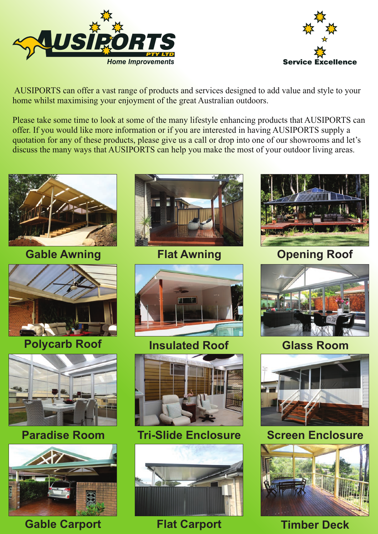



AUSIPORTS can offer a vast range of products and services designed to add value and style to your home whilst maximising your enjoyment of the great Australian outdoors.

Please take some time to look at some of the many lifestyle enhancing products that AUSIPORTS can offer. If you would like more information or if you are interested in having AUSIPORTS supply a quotation for any of these products, please give us a call or drop into one of our showrooms and let's discuss the many ways that AUSIPORTS can help you make the most of your outdoor living areas.



**Gable Awning Flat Awning**



**Polycarb Roof**





**Gable Carport**





**Insulated Roof**



**Paradise Room Tri-Slide Enclosure**



**Flat Carport**



**Opening Roof**



**Glass Room**



**Screen Enclosure**



**Timber Deck**